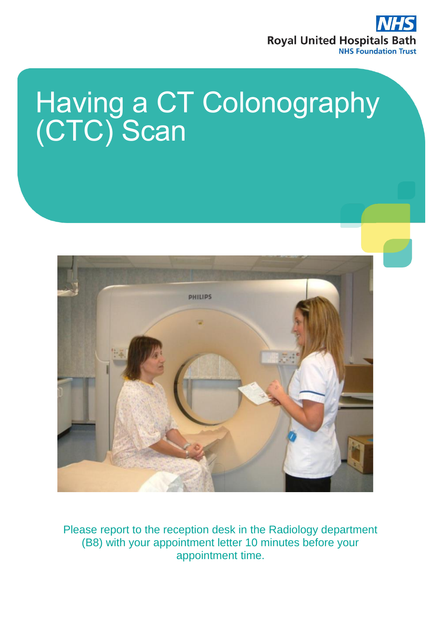

# Having a CT Colonography (CTC) Scan



Please report to the reception desk in the Radiology department (B8) with your appointment letter 10 minutes before your appointment time.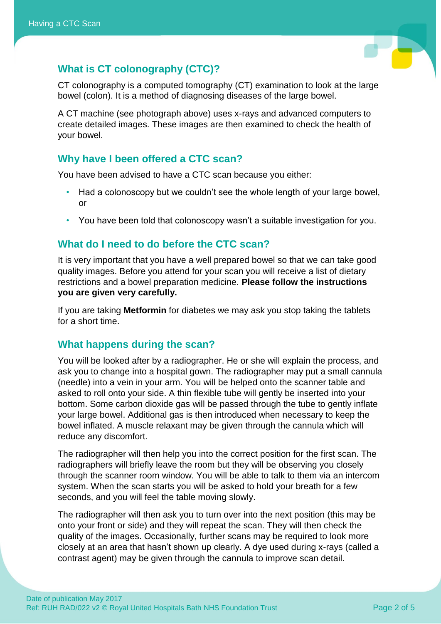

# **What is CT colonography (CTC)?**

CT colonography is a computed tomography (CT) examination to look at the large bowel (colon). It is a method of diagnosing diseases of the large bowel.

A CT machine (see photograph above) uses x-rays and advanced computers to create detailed images. These images are then examined to check the health of your bowel.

## **Why have I been offered a CTC scan?**

You have been advised to have a CTC scan because you either:

- Had a colonoscopy but we couldn't see the whole length of your large bowel, or
- You have been told that colonoscopy wasn't a suitable investigation for you.

## **What do I need to do before the CTC scan?**

It is very important that you have a well prepared bowel so that we can take good quality images. Before you attend for your scan you will receive a list of dietary restrictions and a bowel preparation medicine. **Please follow the instructions you are given very carefully.** 

If you are taking **Metformin** for diabetes we may ask you stop taking the tablets for a short time.

## **What happens during the scan?**

You will be looked after by a radiographer. He or she will explain the process, and ask you to change into a hospital gown. The radiographer may put a small cannula (needle) into a vein in your arm. You will be helped onto the scanner table and asked to roll onto your side. A thin flexible tube will gently be inserted into your bottom. Some carbon dioxide gas will be passed through the tube to gently inflate your large bowel. Additional gas is then introduced when necessary to keep the bowel inflated. A muscle relaxant may be given through the cannula which will reduce any discomfort.

The radiographer will then help you into the correct position for the first scan. The radiographers will briefly leave the room but they will be observing you closely through the scanner room window. You will be able to talk to them via an intercom system. When the scan starts you will be asked to hold your breath for a few seconds, and you will feel the table moving slowly.

The radiographer will then ask you to turn over into the next position (this may be onto your front or side) and they will repeat the scan. They will then check the quality of the images. Occasionally, further scans may be required to look more closely at an area that hasn't shown up clearly. A dye used during x-rays (called a contrast agent) may be given through the cannula to improve scan detail.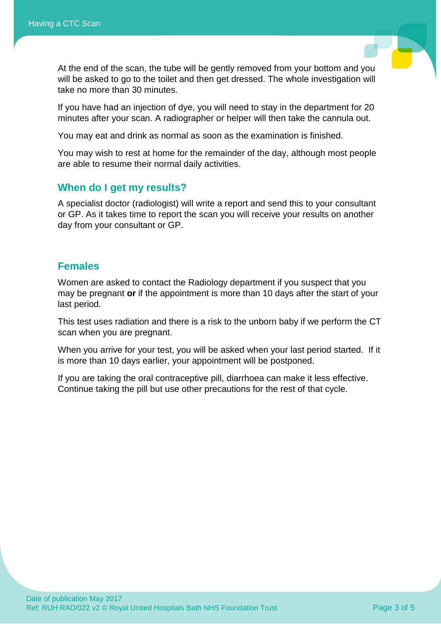

At the end of the scan, the tube will be gently removed from your bottom and you will be asked to go to the toilet and then get dressed. The whole investigation will take no more than 30 minutes.

If you have had an injection of dye, you will need to stay in the department for 20 minutes after your scan. A radiographer or helper will then take the cannula out.

You may eat and drink as normal as soon as the examination is finished.

You may wish to rest at home for the remainder of the day, although most people are able to resume their normal daily activities.

#### **When do I get my results?**

A specialist doctor (radiologist) will write a report and send this to your consultant or GP. As it takes time to report the scan you will receive your results on another day from your consultant or GP.

#### **Females**

Women are asked to contact the Radiology department if you suspect that you may be pregnant **or** if the appointment is more than 10 days after the start of your last period.

This test uses radiation and there is a risk to the unborn baby if we perform the CT scan when you are pregnant.

When you arrive for your test, you will be asked when your last period started. If it is more than 10 days earlier, your appointment will be postponed.

If you are taking the oral contraceptive pill, diarrhoea can make it less effective. Continue taking the pill but use other precautions for the rest of that cycle.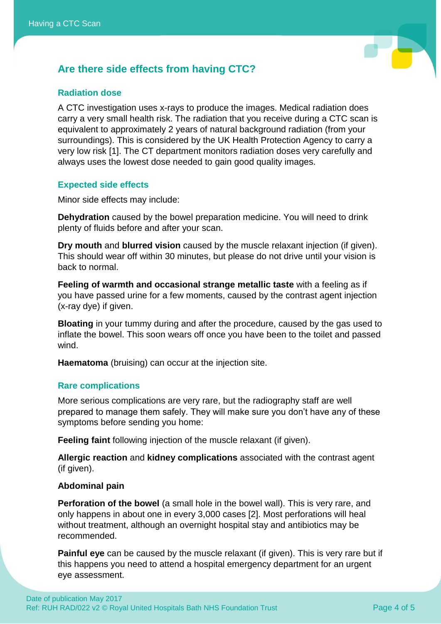

# **Are there side effects from having CTC?**

#### **Radiation dose**

A CTC investigation uses x-rays to produce the images. Medical radiation does carry a very small health risk. The radiation that you receive during a CTC scan is equivalent to approximately 2 years of natural background radiation (from your surroundings). This is considered by the UK Health Protection Agency to carry a very low risk [1]. The CT department monitors radiation doses very carefully and always uses the lowest dose needed to gain good quality images.

#### **Expected side effects**

Minor side effects may include:

**Dehydration** caused by the bowel preparation medicine. You will need to drink plenty of fluids before and after your scan.

**Dry mouth** and **blurred vision** caused by the muscle relaxant injection (if given). This should wear off within 30 minutes, but please do not drive until your vision is back to normal.

**Feeling of warmth and occasional strange metallic taste** with a feeling as if you have passed urine for a few moments, caused by the contrast agent injection (x-ray dye) if given.

**Bloating** in your tummy during and after the procedure, caused by the gas used to inflate the bowel. This soon wears off once you have been to the toilet and passed wind.

**Haematoma** (bruising) can occur at the injection site.

#### **Rare complications**

More serious complications are very rare, but the radiography staff are well prepared to manage them safely. They will make sure you don't have any of these symptoms before sending you home:

**Feeling faint** following injection of the muscle relaxant (if given).

**Allergic reaction** and **kidney complications** associated with the contrast agent (if given).

#### **Abdominal pain**

**Perforation of the bowel** (a small hole in the bowel wall). This is very rare, and only happens in about one in every 3,000 cases [2]. Most perforations will heal without treatment, although an overnight hospital stay and antibiotics may be recommended.

**Painful eye** can be caused by the muscle relaxant (if given). This is very rare but if this happens you need to attend a hospital emergency department for an urgent eye assessment.